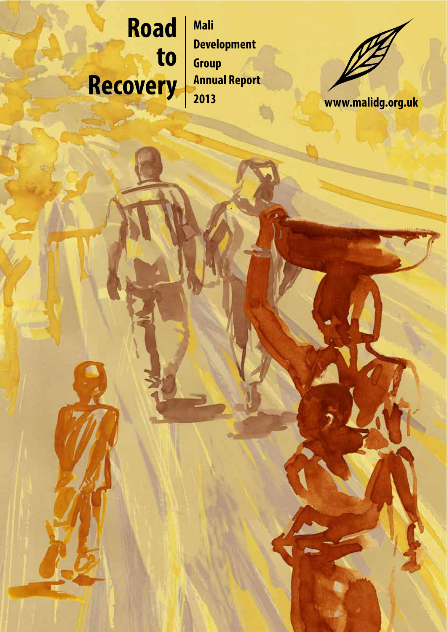# **Road to Recovery Annual Report www.malidg.org.uk**

**Mali Development Group Annual Report 201 3**

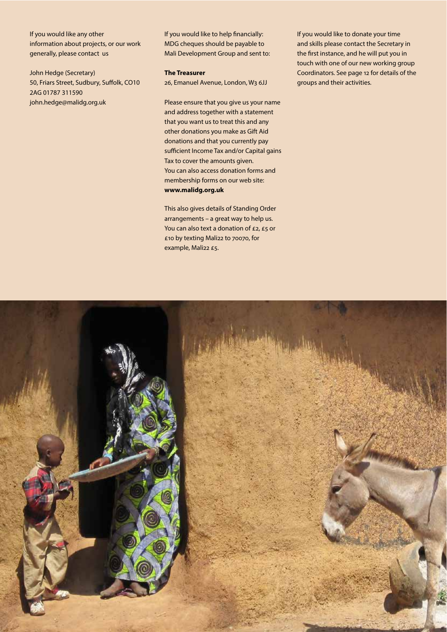If you would like any other information about projects, or our work generally, please contact us

John Hedge (Secretary) 50, Friars Street, Sudbury, Suffolk, CO10 2AG 01787 311590 john.hedge@malidg.org.uk

If you would like to help financially: MDG cheques should be payable to Mali Development Group and sent to:

#### **The Treasurer**

26, Emanuel Avenue, London, W3 6JJ

Please ensure that you give us your name and address together with a statement that you want us to treat this and any other donations you make as Gift Aid donations and that you currently pay sufficient Income Tax and/or Capital gains Tax to cover the amounts given. You can also access donation forms and membership forms on our web site: **www.malidg.org.uk**

This also gives details of Standing Order arrangements – a great way to help us. You can also text a donation of £2, £5 or £10 by texting Mali22 to 70070, for example, Mali22 £5.

If you would like to donate your time and skills please contact the Secretary in the first instance, and he will put you in touch with one of our new working group Coordinators. See page 12 for details of the groups and their activities.

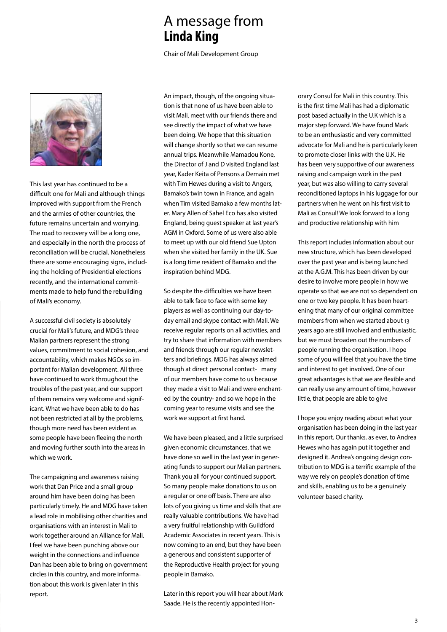# A message from **Linda King**

Chair of Mali Development Group



This last year has continued to be a difficult one for Mali and although things improved with support from the French and the armies of other countries, the future remains uncertain and worrying. The road to recovery will be a long one, and especially in the north the process of reconciliation will be crucial. Nonetheless there are some encouraging signs, including the holding of Presidential elections recently, and the international commitments made to help fund the rebuilding of Mali's economy.

A successful civil society is absolutely crucial for Mali's future, and MDG's three Malian partners represent the strong values, commitment to social cohesion, and accountability, which makes NGOs so important for Malian development. All three have continued to work throughout the troubles of the past year, and our support of them remains very welcome and significant. What we have been able to do has not been restricted at all by the problems, though more need has been evident as some people have been fleeing the north and moving further south into the areas in which we work.

The campaigning and awareness raising work that Dan Price and a small group around him have been doing has been particularly timely. He and MDG have taken a lead role in mobilising other charities and organisations with an interest in Mali to work together around an Alliance for Mali. I feel we have been punching above our weight in the connections and influence Dan has been able to bring on government circles in this country, and more information about this work is given later in this report.

An impact, though, of the ongoing situation is that none of us have been able to visit Mali, meet with our friends there and see directly the impact of what we have been doing. We hope that this situation will change shortly so that we can resume annual trips. Meanwhile Mamadou Kone, the Director of J and D visited England last year, Kader Keita of Pensons a Demain met with Tim Hewes during a visit to Angers, Bamako's twin town in France, and again when Tim visited Bamako a few months later. Mary Allen of Sahel Eco has also visited England, being guest speaker at last year's AGM in Oxford. Some of us were also able to meet up with our old friend Sue Upton when she visited her family in the UK. Sue is a long time resident of Bamako and the inspiration behind MDG.

So despite the difficulties we have been able to talk face to face with some key players as well as continuing our day-today email and skype contact with Mali. We receive regular reports on all activities, and try to share that information with members and friends through our regular newsletters and briefings. MDG has always aimed though at direct personal contact- many of our members have come to us because they made a visit to Mali and were enchanted by the country- and so we hope in the coming year to resume visits and see the work we support at first hand.

We have been pleased, and a little surprised given economic circumstances, that we have done so well in the last year in generating funds to support our Malian partners. Thank you all for your continued support. So many people make donations to us on a regular or one off basis. There are also lots of you giving us time and skills that are really valuable contributions. We have had a very fruitful relationship with Guildford Academic Associates in recent years. This is now coming to an end, but they have been a generous and consistent supporter of the Reproductive Health project for young people in Bamako.

Later in this report you will hear about Mark Saade. He is the recently appointed Honorary Consul for Mali in this country. This is the first time Mali has had a diplomatic post based actually in the U.K which is a major step forward. We have found Mark to be an enthusiastic and very committed advocate for Mali and he is particularly keen to promote closer links with the U.K. He has been very supportive of our awareness raising and campaign work in the past year, but was also willing to carry several reconditioned laptops in his luggage for our partners when he went on his first visit to Mali as Consul! We look forward to a long and productive relationship with him

This report includes information about our new structure, which has been developed over the past year and is being launched at the A.G.M. This has been driven by our desire to involve more people in how we operate so that we are not so dependent on one or two key people. It has been heartening that many of our original committee members from when we started about 13 years ago are still involved and enthusiastic, but we must broaden out the numbers of people running the organisation. I hope some of you will feel that you have the time and interest to get involved. One of our great advantages is that we are flexible and can really use any amount of time, however little, that people are able to give

I hope you enjoy reading about what your organisation has been doing in the last year in this report. Our thanks, as ever, to Andrea Hewes who has again put it together and designed it. Andrea's ongoing design contribution to MDG is a terrific example of the way we rely on people's donation of time and skills, enabling us to be a genuinely volunteer based charity.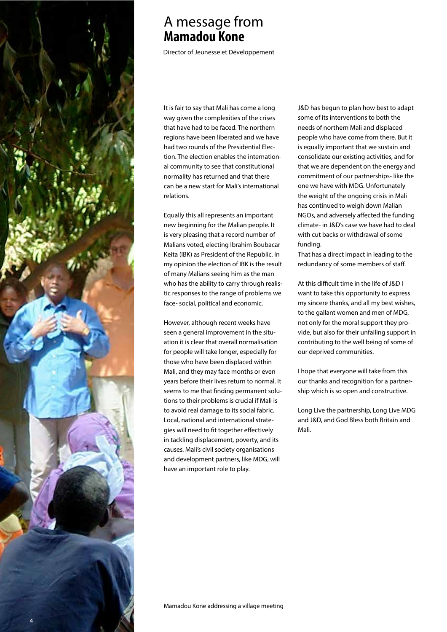

# A message from **Mamadou Kone**

Director of Jeunesse et Développement

It is fair to say that Mali has come a long way given the complexities of the crises that have had to be faced. The northern regions have been liberated and we have had two rounds of the Presidential Election. The election enables the international community to see that constitutional normality has returned and that there can be a new start for Mali's international relations.

Equally this all represents an important new beginning for the Malian people. It is very pleasing that a record number of Malians voted, electing Ibrahim Boubacar Keita (IBK) as President of the Republic. In my opinion the election of IBK is the result of many Malians seeing him as the man who has the ability to carry through realistic responses to the range of problems we face- social, political and economic.

However, although recent weeks have seen a general improvement in the situation it is clear that overall normalisation for people will take longer, especially for those who have been displaced within Mali, and they may face months or even years before their lives return to normal. It seems to me that finding permanent solutions to their problems is crucial if Mali is to avoid real damage to its social fabric. Local, national and international strategies will need to fit together effectively in tackling displacement, poverty, and its causes. Mali's civil society organisations and development partners, like MDG, will have an important role to play.

**J&D has begun to plan how best to adapt**<br>
some of its intervantions to both the **to next year** needs of northern Mali and displaced some of its interventions to both the people who have come from there. But it is equally important that we sustain and consolidate our existing activities, and for that we are dependent on the energy and commitment of our partnerships- like the one we have with MDG. Unfortunately the weight of the ongoing crisis in Mali has continued to weigh down Malian NGOs, and adversely affected the funding climate- in J&D's case we have had to deal with cut backs or withdrawal of some funding.

> That has a direct impact in leading to the redundancy of some members of staff.

At this difficult time in the life of J&D I want to take this opportunity to express my sincere thanks, and all my best wishes, to the gallant women and men of MDG, not only for the moral support they provide, but also for their unfailing support in contributing to the well being of some of our deprived communities.

I hope that everyone will take from this our thanks and recognition for a partnership which is so open and constructive.

Long Live the partnership, Long Live MDG and J&D, and God Bless both Britain and Mali.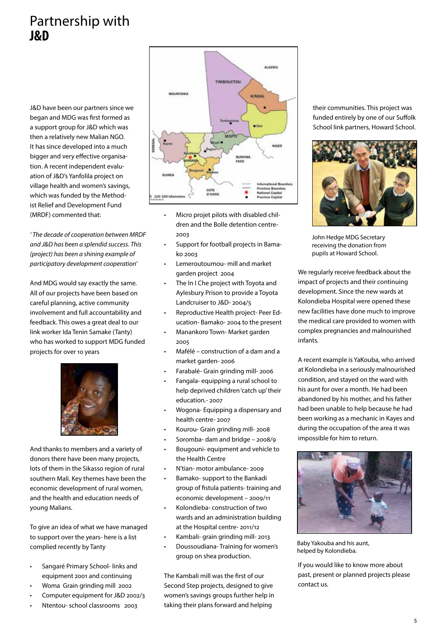# Partnership with **J&D**

J&D have been our partners since we began and MDG was first formed as a support group for J&D which was then a relatively new Malian NGO. It has since developed into a much bigger and very effective organisation. A recent independent evaluation of J&D's Yanfolila project on village health and women's savings, which was funded by the Methodist Relief and Development Fund (MRDF) commented that:

' The decade of cooperation between MRDF and J&D has been a splendid success. This (project) has been a shining example of participatory development cooperation'

And MDG would say exactly the same. All of our projects have been based on careful planning, active community involvement and full accountability and feedback. This owes a great deal to our link worker Ida Tenin Samake (Tanty) who has worked to support MDG funded projects for over 10 years



And thanks to members and a variety of donors there have been many projects, lots of them in the Sikasso region of rural southern Mali. Key themes have been the economic development of rural women, and the health and education needs of young Malians.

To give an idea of what we have managed to support over the years- here is a list complied recently by Tanty

- Sangaré Primary School- links and equipment 2001 and continuing
- Woma Grain grinding mill 2002
- Computer equipment for J&D 2002/3
- Ntentou- school classrooms 2003



- Micro projet pilots with disabled children and the Bolle detention centre-2003
- Support for football projects in Bamako 2003
- Lemeroutoumou- mill and market garden project 2004
- The In I Che project with Toyota and Aylesbury Prison to provide a Toyota Landcruiser to J&D- 2004/5
- Reproductive Health project- Peer Education- Bamako- 2004 to the present
- Manankoro Town- Market garden 2005
- Mafélé construction of a dam and a market garden- 2006
- Farabalé- Grain grinding mill- 2006
- Fangala- equipping a rural school to help deprived children 'catch up' their education.- 2007
- Wogona- Equipping a dispensary and health centre- 2007
- Kourou- Grain grinding mill- 2008
- Soromba- dam and bridge 2008/9
- Bougouni- equipment and vehicle to the Health Centre
- N'tian- motor ambulance- 2009
- Bamako- support to the Bankadi group of fistula patients- training and economic development - 2009/11
- Kolondieba- construction of two wards and an administration building at the Hospital centre- 2011/12
- Kambali- grain grinding mill- 2013
- Doussoudiana-Training for women's group on shea production.

The Kambali mill was the first of our Second Step projects, designed to give women's savings groups further help in taking their plans forward and helping

their communities. This project was funded entirely by one of our Suffolk School link partners, Howard School.



John Hedge MDG Secretary receiving the donation from pupils at Howard School.

regreening the same made in to improve the medical care provided to women with complex pregnancies and malnourished  $\mathsf{t}\mathsf{s}\mathsf{.}$ We regularly receive feedback about the impact of projects and their continuing development. Since the new wards at Kolondieba Hospital were opened these new facilities have done much to improve infants.

the !eld at the start of the season. As A recent example is YaKouba, who arrived at Kolondieba in a seriously malnourished condition, and stayed on the ward with his aunt for over a month. He had been the farmer and his family. abandoned by his mother, and his father had been unable to help because he had been working as a mechanic in Kayes and during the occupation of the area it was impossible for him to return.



Baby Yakouba and his aunt, helped by Kolondieba.

If you would like to know more about past, present or planned projects please  $c_{\rm t}$  from improved tree varieties from improved tree varieties  $c_{\rm t}$ onto hardy rootstock. contact us.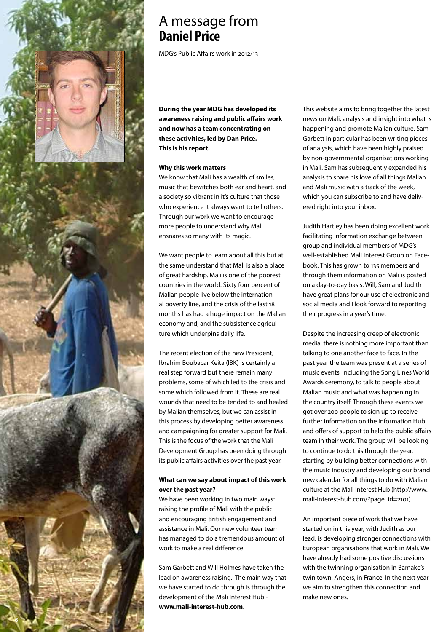

# A message from **Daniel Price**

MDG's Public Affairs work in 2012/13

**During the year MDG has developed its**  awareness raising and public affairs work **and now has a team concentrating on these activities, led by Dan Price. This is his report.**

#### **Why this work matters**

We know that Mali has a wealth of smiles, music that bewitches both ear and heart, and a society so vibrant in it's culture that those who experience it always want to tell others. Through our work we want to encourage more people to understand why Mali ensnares so many with its magic.

We want people to learn about all this but at the same understand that Mali is also a place of great hardship. Mali is one of the poorest countries in the world. Sixty four percent of Malian people live below the international poverty line, and the crisis of the last 18 months has had a huge impact on the Malian economy and, and the subsistence agriculture which underpins daily life.

The recent election of the new President, Ibrahim Boubacar Keita (IBK) is certainly a real step forward but there remain many problems, some of which led to the crisis and some which followed from it. These are real wounds that need to be tended to and healed by Malian themselves, but we can assist in this process by developing better awareness and campaigning for greater support for Mali. This is the focus of the work that the Mali Development Group has been doing through its public affairs activities over the past year.

### **What can we say about impact of this work over the past year?**

We have been working in two main ways: raising the profile of Mali with the public and encouraging British engagement and assistance in Mali. Our new volunteer team has managed to do a tremendous amount of work to make a real difference.

Sam Garbett and Will Holmes have taken the lead on awareness raising. The main way that we have started to do through is through the development of the Mali Interest Hub **www.mali-interest-hub.com.** 

This website aims to bring together the latest news on Mali, analysis and insight into what is happening and promote Malian culture. Sam Garbett in particular has been writing pieces of analysis, which have been highly praised by non-governmental organisations working in Mali. Sam has subsequently expanded his analysis to share his love of all things Malian and Mali music with a track of the week, which you can subscribe to and have delivered right into your inbox.

Judith Hartley has been doing excellent work facilitating information exchange between group and individual members of MDG's well-established Mali Interest Group on Facebook. This has grown to 135 members and through them information on Mali is posted on a day-to-day basis. Will, Sam and Judith have great plans for our use of electronic and social media and I look forward to reporting their progress in a year's time.

Despite the increasing creep of electronic media, there is nothing more important than talking to one another face to face. In the past year the team was present at a series of music events, including the Song Lines World Awards ceremony, to talk to people about Malian music and what was happening in the country itself. Through these events we got over 200 people to sign up to receive further information on the Information Hub and offers of support to help the public affairs team in their work. The group will be looking to continue to do this through the year, starting by building better connections with the music industry and developing our brand new calendar for all things to do with Malian culture at the Mali Interest Hub (http://www. mali-interest-hub.com/?page\_id=2101)

An important piece of work that we have started on in this year, with Judith as our lead, is developing stronger connections with European organisations that work in Mali. We have already had some positive discussions with the twinning organisation in Bamako's twin town, Angers, in France. In the next year we aim to strengthen this connection and make new ones.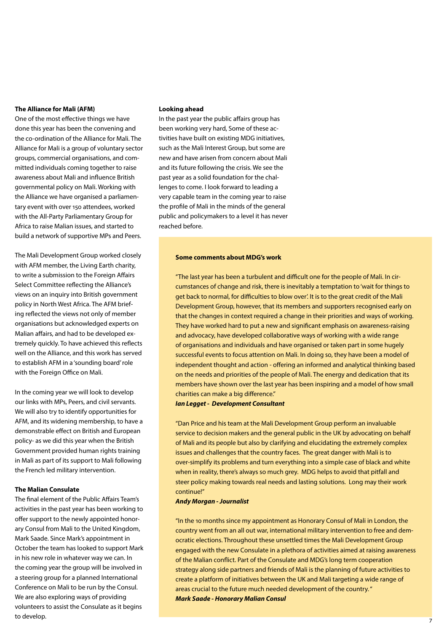#### **The Alliance for Mali (AFM)**

One of the most effective things we have done this year has been the convening and the co-ordination of the Alliance for Mali. The Alliance for Mali is a group of voluntary sector groups, commercial organisations, and committed individuals coming together to raise awareness about Mali and influence British governmental policy on Mali. Working with the Alliance we have organised a parliamentary event with over 150 attendees, worked with the All-Party Parliamentary Group for Africa to raise Malian issues, and started to build a network of supportive MPs and Peers.

The Mali Development Group worked closely with AFM member, the Living Earth charity, to write a submission to the Foreign Affairs Select Committee reflecting the Alliance's views on an inquiry into British government policy in North West Africa. The AFM briefing reflected the views not only of member organisations but acknowledged experts on Malian affairs, and had to be developed extremely quickly. To have achieved this reflects well on the Alliance, and this work has served to establish AFM in a 'sounding board' role with the Foreign Office on Mali.

In the coming year we will look to develop our links with MPs, Peers, and civil servants. We will also try to identify opportunities for AFM, and its widening membership, to have a demonstrable effect on British and European policy- as we did this year when the British Government provided human rights training in Mali as part of its support to Mali following the French led military intervention.

### **The Malian Consulate**

The final element of the Public Affairs Team's activities in the past year has been working to offer support to the newly appointed honorary Consul from Mali to the United Kingdom, Mark Saade. Since Mark's appointment in October the team has looked to support Mark in his new role in whatever way we can. In the coming year the group will be involved in a steering group for a planned International Conference on Mali to be run by the Consul. We are also exploring ways of providing volunteers to assist the Consulate as it begins to develop.

#### **Looking ahead**

In the past year the public affairs group has been working very hard, Some of these activities have built on existing MDG initiatives, such as the Mali Interest Group, but some are new and have arisen from concern about Mali and its future following the crisis. We see the past year as a solid foundation for the challenges to come. I look forward to leading a very capable team in the coming year to raise the profile of Mali in the minds of the general public and policymakers to a level it has never reached before.

#### **Some comments about MDG's work**

"The last year has been a turbulent and difficult one for the people of Mali. In circumstances of change and risk, there is inevitably a temptation to 'wait for things to get back to normal, for difficulties to blow over'. It is to the great credit of the Mali Development Group, however, that its members and supporters recognised early on that the changes in context required a change in their priorities and ways of working. They have worked hard to put a new and significant emphasis on awareness-raising and advocacy, have developed collaborative ways of working with a wide range of organisations and individuals and have organised or taken part in some hugely successful events to focus attention on Mali. In doing so, they have been a model of independent thought and action - offering an informed and analytical thinking based on the needs and priorities of the people of Mali. The energy and dedication that its members have shown over the last year has been inspiring and a model of how small charities can make a big difference."

#### **Ian Legget - Development Consultant**

"Dan Price and his team at the Mali Development Group perform an invaluable service to decision makers and the general public in the UK by advocating on behalf of Mali and its people but also by clarifying and elucidating the extremely complex issues and challenges that the country faces. The great danger with Mali is to over-simplify its problems and turn everything into a simple case of black and white when in reality, there's always so much grey. MDG helps to avoid that pitfall and steer policy making towards real needs and lasting solutions. Long may their work continue!"

#### **Andy Morgan - Journalist**

"In the 10 months since my appointment as Honorary Consul of Mali in London, the country went from an all out war, international military intervention to free and democratic elections. Throughout these unsettled times the Mali Development Group engaged with the new Consulate in a plethora of activities aimed at raising awareness of the Malian conflict. Part of the Consulate and MDG's long term cooperation strategy along side partners and friends of Mali is the planning of future activities to create a platform of initiatives between the UK and Mali targeting a wide range of areas crucial to the future much needed development of the country. " **Mark Saade - Honorary Malian Consul**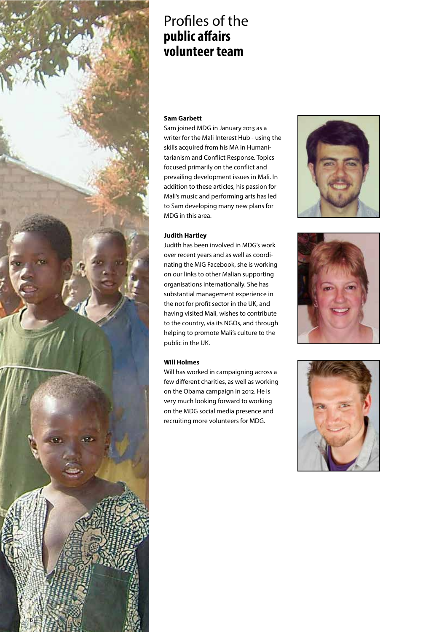

# Profiles of the **public affairs volunteer team**

#### **Sam Garbett**

Sam joined MDG in January 2013 as a writer for the Mali Interest Hub - using the skills acquired from his MA in Humanitarianism and Conflict Response. Topics focused primarily on the conflict and prevailing development issues in Mali. In addition to these articles, his passion for Mali's music and performing arts has led to Sam developing many new plans for MDG in this area.

### **Judith Hartley**

Judith has been involved in MDG's work over recent years and as well as coordinating the MIG Facebook, she is working on our links to other Malian supporting organisations internationally. She has substantial management experience in the not for profit sector in the UK, and having visited Mali, wishes to contribute to the country, via its NGOs, and through helping to promote Mali's culture to the public in the UK.

#### **Will Holmes**

Will has worked in campaigning across a few different charities, as well as working on the Obama campaign in 2012. He is very much looking forward to working on the MDG social media presence and recruiting more volunteers for MDG.





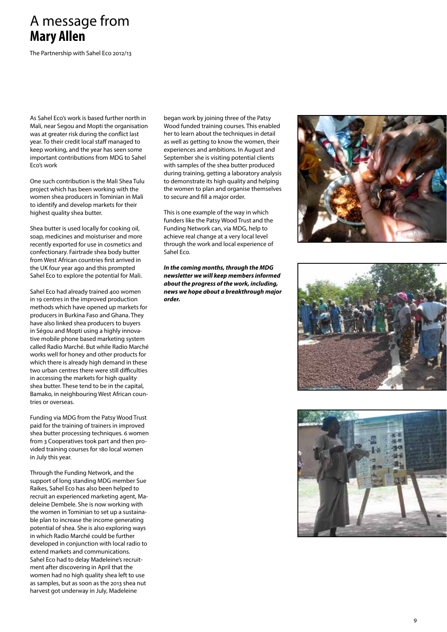# A message from **Mary Allen**

The Partnership with Sahel Eco 2012 /13

As Sahel Eco's work is based further north in Mali, near Segou and Mopti the organisation was at greater risk during the conflict last year. To their credit local staff managed to keep working, and the year has seen some important contributions from MDG to Sahel Eco's work

One such contribution is the Mali Shea Tulu project which has been working with the women shea producers in Tominian in Mali to identify and develop markets for their highest quality shea butter.

Shea butter is used locally for cooking oil, soap, medicines and moisturiser and more recently exported for use in cosmetics and confectionary. Fairtrade shea body butter from West African countries first arrived in the UK four year ago and this prompted Sahel Eco to explore the potential for Mali.

Sahel Eco had already trained 400 women in 19 centres in the improved production methods which have opened up markets for producers in Burkina Faso and Ghana. They have also linked shea producers to buyers in Ségou and Mopti using a highly innova tive mobile phone based marketing system called Radio Marché. But while Radio Marché works well for honey and other products for which there is already high demand in these two urban centres there were still difficulties in accessing the markets for high quality shea butter. These tend to be in the capital, Bamako, in neighbouring West African coun tries or overseas.

Funding via MDG from the Patsy Wood Trust paid for the training of trainers in improved shea butter processing techniques. 6 women from 3 Cooperatives took part and then pro vided training courses for 180 local women in July this year.

Through the Funding Network, and the support of long standing MDG member Sue Raikes, Sahel Eco has also been helped to recruit an experienced marketing agent, Ma deleine Dembele. She is now working with the women in Tominian to set up a sustaina ble plan to increase the income generating potential of shea. She is also exploring ways in which Radio Marché could be further developed in conjunction with local radio to extend markets and communications. Sahel Eco had to delay Madeleine's recruit ment after discovering in April that the women had no high quality shea left to use as samples, but as soon as the 2013 shea nut harvest got underway in July, Madeleine

began work by joining three of the Patsy Wood funded training courses. This enabled her to learn about the techniques in detail as well as getting to know the women, their experiences and ambitions. In August and September she is visiting potential clients with samples of the shea butter produced during training, getting a laboratory analysis to demonstrate its high quality and helping the women to plan and organise themselves to secure and fill a major order.

This is one example of the way in which funders like the Patsy Wood Trust and the Funding Network can, via MDG, help to achieve real change at a very local level through the work and local experience of Sahel Eco.

**In the coming months, through the MDG newsletter we will keep members informed about the progress of the work, including, news we hope about a breakthrough major order.**





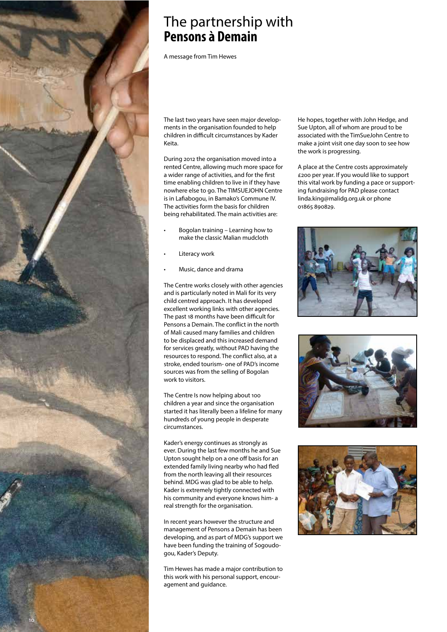

# The partnership with **Pensons à Demain**

A message from Tim Hewes

The last two years have seen major developments in the organisation founded to help children in difficult circumstances by Kader Keita.

During 2012 the organisation moved into a rented Centre, allowing much more space for a wider range of activities, and for the first time enabling children to live in if they have nowhere else to go. The TIMSUEJOHN Centre is in Lafiabogou, in Bamako's Commune IV. The activities form the basis for children being rehabilitated. The main activities are:

- Bogolan training Learning how to make the classic Malian mudcloth
- Literacy work
- Music, dance and drama

The Centre works closely with other agencies and is particularly noted in Mali for its very child centred approach. It has developed excellent working links with other agencies. The past 18 months have been difficult for Pensons a Demain. The conflict in the north of Mali caused many families and children to be displaced and this increased demand for services greatly, without PAD having the resources to respond. The conflict also, at a stroke, ended tourism- one of PAD's income sources was from the selling of Bogolan work to visitors.

The Centre Is now helping about 100 children a year and since the organisation started it has literally been a lifeline for many hundreds of young people in desperate circumstances.

Kader's energy continues as strongly as ever. During the last few months he and Sue Upton sought help on a one off basis for an extended family living nearby who had fled from the north leaving all their resources behind. MDG was glad to be able to help. Kader is extremely tightly connected with his community and everyone knows him- a real strength for the organisation.

In recent years however the structure and management of Pensons a Demain has been developing, and as part of MDG's support we have been funding the training of Sogoudogou, Kader's Deputy.

Tim Hewes has made a major contribution to this work with his personal support, encouragement and guidance.

He hopes, together with John Hedge, and Sue Upton, all of whom are proud to be associated with the TimSueJohn Centre to make a joint visit one day soon to see how the work is progressing.

A place at the Centre costs approximately £200 per year. If you would like to support this vital work by funding a pace or supporting fundraising for PAD please contact linda.king@malidg.org.uk or phone 01865 890829.





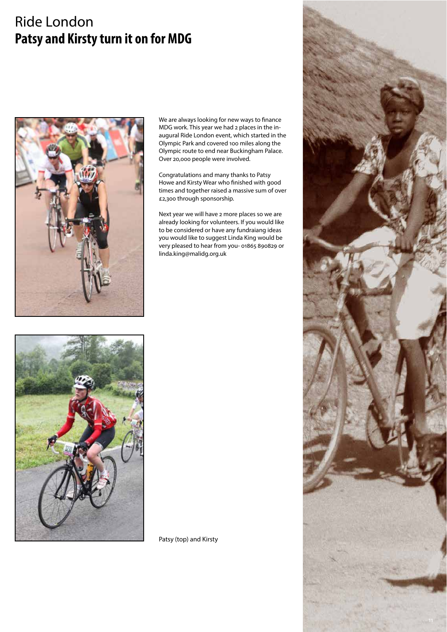# **Ride London** Patsy and Kirsty turn it on for MDG



We are always looking for new ways to finance MDG work. This year we had 2 places in the inaugural Ride London event, which started in the Olympic Park and covered 100 miles along the Olympic route to end near Buckingham Palace. Over 20,000 people were involved.

Congratulations and many thanks to Patsy Howe and Kirsty Wear who finished with good times and together raised a massive sum of over £2,300 through sponsorship.

Next year we will have 2 more places so we are already looking for volunteers. If you would like to be considered or have any fundraiang ideas you would like to suggest Linda King would be very pleased to hear from you- 01865 890829 or linda.king@malidg.org.uk



Patsy (top) and Kirsty

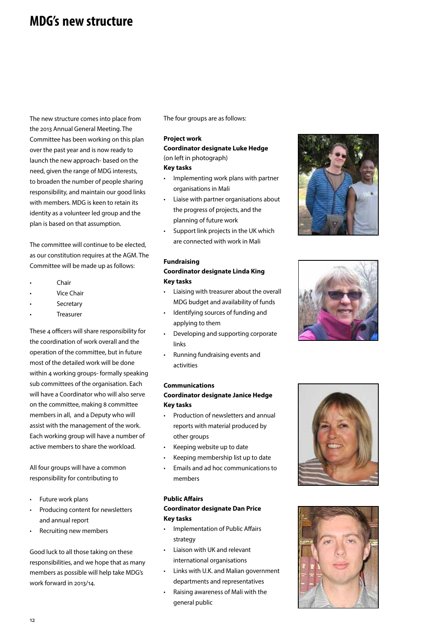# **MDG's new structure**

The new structure comes into place from the 2013 Annual General Meeting. The Committee has been working on this plan over the past year and is now ready to launch the new approach- based on the need, given the range of MDG interests, to broaden the number of people sharing responsibility, and maintain our good links with members. MDG is keen to retain its identity as a volunteer led group and the plan is based on that assumption.

The committee will continue to be elected, as our constitution requires at the AGM. The Committee will be made up as follows:

- $Chair$
- Vice Chair
- Secretary
- Treasurer

These 4 officers will share responsibility for the coordination of work overall and the operation of the committee, but in future most of the detailed work will be done within 4 working groups- formally speaking sub committees of the organisation. Each will have a Coordinator who will also serve on the committee, making 8 committee members in all, and a Deputy who will assist with the management of the work. Each working group will have a number of active members to share the workload.

All four groups will have a common responsibility for contributing to

- Future work plans
- Producing content for newsletters and annual report
- Recruiting new members

Good luck to all those taking on these responsibilities, and we hope that as many members as possible will help take MDG's work forward in 2013/14.

The four groups are as follows:

#### **Project work**

### **Coordinator designate Luke Hedge** (on left in photograph) **Key tasks**

- Implementing work plans with partner organisations in Mali
- Liaise with partner organisations about the progress of projects, and the planning of future work
- Support link projects in the UK which are connected with work in Mali

## **Fundraising**

### **Coordinator designate Linda King Key tasks**

- Liaising with treasurer about the overall MDG budget and availability of funds
- Identifying sources of funding and applying to them
- Developing and supporting corporate links
- Running fundraising events and activities

# **Communications**

#### **Coordinator designate Janice Hedge Key tasks**

- Production of newsletters and annual reports with material produced by other groups
- Keeping website up to date
- Keeping membership list up to date
- Emails and ad hoc communications to members

### **Public Affairs Coordinator designate Dan Price Key tasks**

- Implementation of Public Affairs strategy
- Liaison with UK and relevant international organisations
- Links with U.K. and Malian government departments and representatives
- Raising awareness of Mali with the general public







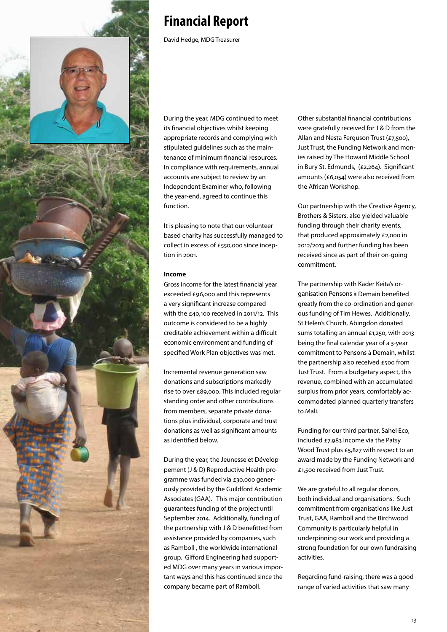

# **Financial Report**

David Hedge, MDG Treasurer

During the year, MDG continued to meet its financial objectives whilst keeping appropriate records and complying with stipulated guidelines such as the maintenance of minimum financial resources. In compliance with requirements, annual accounts are subject to review by an Independent Examiner who, following the year-end, agreed to continue this function.

It is pleasing to note that our volunteer based charity has successfully managed to collect in excess of £550,000 since inception in 2001.

### **Income**

Gross income for the latest financial year exceeded £96,000 and this represents a very significant increase compared with the £40,100 received in 2011/12. This outcome is considered to be a highly creditable achievement within a difficult economic environment and funding of specified Work Plan objectives was met.

Incremental revenue generation saw donations and subscriptions markedly rise to over £89,000. This included regular standing order and other contributions from members, separate private donations plus individual, corporate and trust donations as well as significant amounts as identified below.

During the year, the Jeunesse et Développement (J & D) Reproductive Health programme was funded via £30,000 generously provided by the Guildford Academic Associates (GAA). This major contribution guarantees funding of the project until September 2014. Additionally, funding of the partnership with J & D benefitted from assistance provided by companies, such as Ramboll , the worldwide international group. Gifford Engineering had supported MDG over many years in various important ways and this has continued since the company became part of Ramboll.

Other substantial financial contributions were gratefully received for J & D from the Allan and Nesta Ferguson Trust (£7,500), Just Trust, the Funding Network and monies raised by The Howard Middle School in Bury St. Edmunds, (£2,264). Significant amounts (£6,054) were also received from the African Workshop.

Our partnership with the Creative Agency, Brothers & Sisters, also yielded valuable funding through their charity events, that produced approximately £2,000 in 2012/2013 and further funding has been received since as part of their on-going commitment.

The partnership with Kader Keita's organisation Pensons à Demain benefited greatly from the co-ordination and generous funding of Tim Hewes. Additionally, St Helen's Church, Abingdon donated sums totalling an annual £1,250, with 2013 being the final calendar year of a 3-year commitment to Pensons à Demain, whilst the partnership also received  $\epsilon$ 500 from Just Trust. From a budgetary aspect, this revenue, combined with an accumulated surplus from prior years, comfortably accommodated planned quarterly transfers to Mali.

Funding for our third partner, Sahel Eco, included  $£7.983$  income via the Patsy Wood Trust plus  $£5,827$  with respect to an award made by the Funding Network and £1,500 received from Just Trust.

We are grateful to all regular donors, both individual and organisations. Such commitment from organisations like Just Trust, GAA, Ramboll and the Birchwood Community is particularly helpful in underpinning our work and providing a strong foundation for our own fundraising activities.

Regarding fund-raising, there was a good range of varied activities that saw many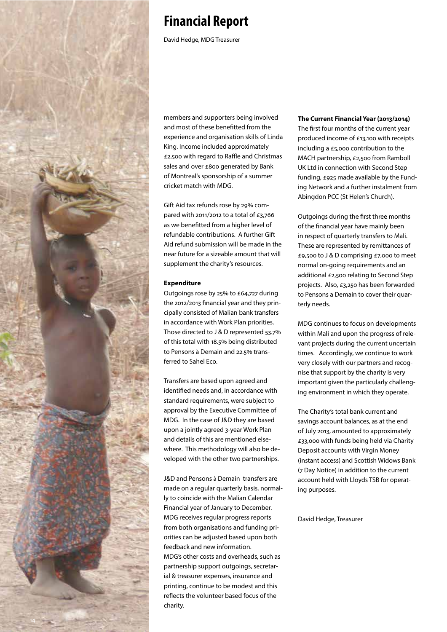

# **Financial Report**

David Hedge, MDG Treasurer

members and supporters being involved and most of these benefitted from the experience and organisation skills of Linda King. Income included approximately £2,500 with regard to Raffle and Christmas sales and over £800 generated by Bank of Montreal's sponsorship of a summer cricket match with MDG.

Gift Aid tax refunds rose by 29% compared with 2011/2012 to a total of £3,766 as we benefitted from a higher level of refundable contributions. A further Gift Aid refund submission will be made in the near future for a sizeable amount that will supplement the charity's resources.

### **Expenditure**

Outgoings rose by 25% to £64,727 during the 2012/2013 financial year and they principally consisted of Malian bank transfers in accordance with Work Plan priorities. Those directed to  $J & D$  represented  $53.7\%$ of this total with 18.5% being distributed to Pensons à Demain and 22.5% transferred to Sahel Eco.

Transfers are based upon agreed and identified needs and, in accordance with standard requirements, were subject to approval by the Executive Committee of MDG. In the case of J&D they are based upon a jointly agreed 3-year Work Plan and details of this are mentioned elsewhere. This methodology will also be developed with the other two partnerships.

J&D and Pensons à Demain transfers are made on a regular quarterly basis, normally to coincide with the Malian Calendar Financial year of January to December. MDG receives regular progress reports from both organisations and funding priorities can be adjusted based upon both feedback and new information. MDG's other costs and overheads, such as partnership support outgoings, secretarial & treasurer expenses, insurance and printing, continue to be modest and this reflects the volunteer based focus of the charity.

### **The Current Financial Year (2013/2014)** The first four months of the current year produced income of £13,100 with receipts including a £5,000 contribution to the MACH partnership, £2,500 from Ramboll UK Ltd in connection with Second Step funding,  $E_{925}$  made available by the Funding Network and a further instalment from Abingdon PCC (St Helen's Church).

Outgoings during the first three months of the financial year have mainly been in respect of quarterly transfers to Mali. These are represented by remittances of £9,500 to J & D comprising £7,000 to meet normal on-going requirements and an additional £2,500 relating to Second Step projects. Also, £3,250 has been forwarded to Pensons a Demain to cover their quarterly needs.

MDG continues to focus on developments within Mali and upon the progress of relevant projects during the current uncertain times. Accordingly, we continue to work very closely with our partners and recognise that support by the charity is very important given the particularly challenging environment in which they operate.

The Charity's total bank current and savings account balances, as at the end of July 2013, amounted to approximately £33,000 with funds being held via Charity Deposit accounts with Virgin Money (instant access) and Scottish Widows Bank (7 Day Notice) in addition to the current account held with Lloyds TSB for operating purposes.

David Hedge, Treasurer